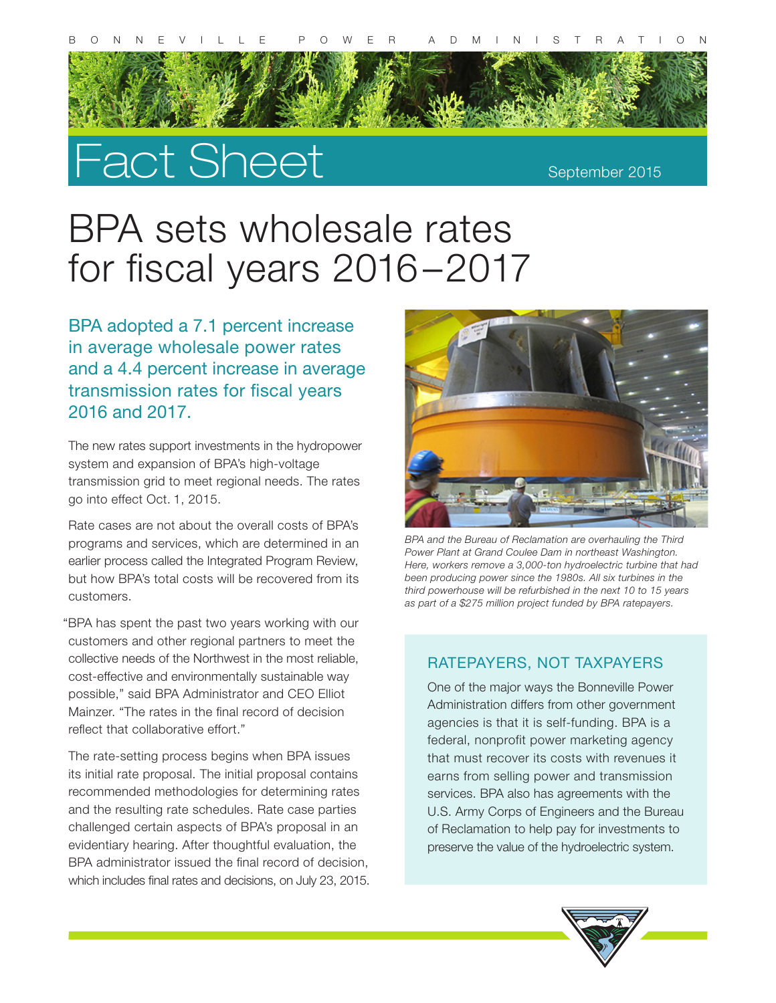

# Fact Sheet

#### September 2015

## BPA sets wholesale rates for fiscal years 2016–2017

BPA adopted a 7.1 percent increase in average wholesale power rates and a 4.4 percent increase in average transmission rates for fiscal years 2016 and 2017.

The new rates support investments in the hydropower system and expansion of BPA's high-voltage transmission grid to meet regional needs. The rates go into effect Oct. 1, 2015.

Rate cases are not about the overall costs of BPA's programs and services, which are determined in an earlier process called the Integrated Program Review, but how BPA's total costs will be recovered from its customers.

 "BPA has spent the past two years working with our customers and other regional partners to meet the collective needs of the Northwest in the most reliable, cost-effective and environmentally sustainable way possible," said BPA Administrator and CEO Elliot Mainzer. "The rates in the final record of decision reflect that collaborative effort."

The rate-setting process begins when BPA issues its initial rate proposal. The initial proposal contains recommended methodologies for determining rates and the resulting rate schedules. Rate case parties challenged certain aspects of BPA's proposal in an evidentiary hearing. After thoughtful evaluation, the BPA administrator issued the final record of decision, which includes final rates and decisions, on July 23, 2015.



*BPA and the Bureau of Reclamation are overhauling the Third Power Plant at Grand Coulee Dam in northeast Washington. Here, workers remove a 3,000-ton hydroelectric turbine that had been producing power since the 1980s. All six turbines in the third powerhouse will be refurbished in the next 10 to 15 years as part of a \$275 million project funded by BPA ratepayers.*

#### RATEPAYERS, NOT TAXPAYERS

One of the major ways the Bonneville Power Administration differs from other government agencies is that it is self-funding. BPA is a federal, nonprofit power marketing agency that must recover its costs with revenues it earns from selling power and transmission services. BPA also has agreements with the U.S. Army Corps of Engineers and the Bureau of Reclamation to help pay for investments to preserve the value of the hydroelectric system.

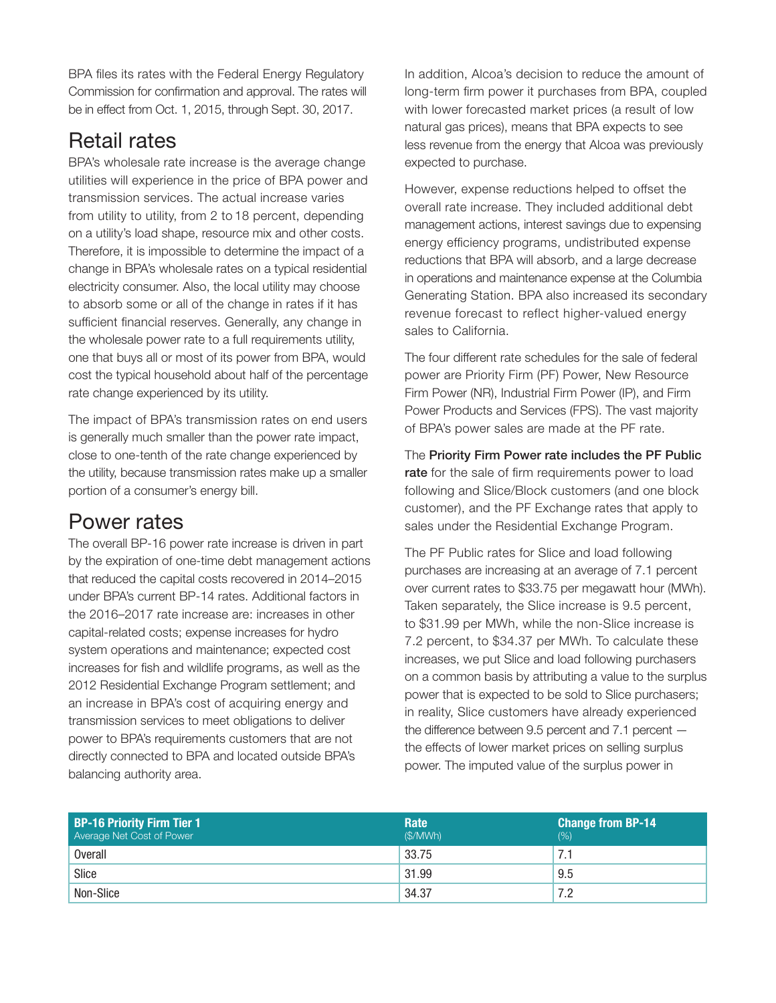BPA files its rates with the Federal Energy Regulatory Commission for confirmation and approval. The rates will be in effect from Oct. 1, 2015, through Sept. 30, 2017.

## Retail rates

BPA's wholesale rate increase is the average change utilities will experience in the price of BPA power and transmission services. The actual increase varies from utility to utility, from 2 to 18 percent, depending on a utility's load shape, resource mix and other costs. Therefore, it is impossible to determine the impact of a change in BPA's wholesale rates on a typical residential electricity consumer. Also, the local utility may choose to absorb some or all of the change in rates if it has sufficient financial reserves. Generally, any change in the wholesale power rate to a full requirements utility, one that buys all or most of its power from BPA, would cost the typical household about half of the percentage rate change experienced by its utility.

The impact of BPA's transmission rates on end users is generally much smaller than the power rate impact, close to one-tenth of the rate change experienced by the utility, because transmission rates make up a smaller portion of a consumer's energy bill.

### Power rates

The overall BP-16 power rate increase is driven in part by the expiration of one-time debt management actions that reduced the capital costs recovered in 2014–2015 under BPA's current BP-14 rates. Additional factors in the 2016–2017 rate increase are: increases in other capital-related costs; expense increases for hydro system operations and maintenance; expected cost increases for fish and wildlife programs, as well as the 2012 Residential Exchange Program settlement; and an increase in BPA's cost of acquiring energy and transmission services to meet obligations to deliver power to BPA's requirements customers that are not directly connected to BPA and located outside BPA's balancing authority area.

In addition, Alcoa's decision to reduce the amount of long-term firm power it purchases from BPA, coupled with lower forecasted market prices (a result of low natural gas prices), means that BPA expects to see less revenue from the energy that Alcoa was previously expected to purchase.

However, expense reductions helped to offset the overall rate increase. They included additional debt management actions, interest savings due to expensing energy efficiency programs, undistributed expense reductions that BPA will absorb, and a large decrease in operations and maintenance expense at the Columbia Generating Station. BPA also increased its secondary revenue forecast to reflect higher-valued energy sales to California.

The four different rate schedules for the sale of federal power are Priority Firm (PF) Power, New Resource Firm Power (NR), Industrial Firm Power (IP), and Firm Power Products and Services (FPS). The vast majority of BPA's power sales are made at the PF rate.

The Priority Firm Power rate includes the PF Public rate for the sale of firm requirements power to load following and Slice/Block customers (and one block customer), and the PF Exchange rates that apply to sales under the Residential Exchange Program.

The PF Public rates for Slice and load following purchases are increasing at an average of 7.1 percent over current rates to \$33.75 per megawatt hour (MWh). Taken separately, the Slice increase is 9.5 percent, to \$31.99 per MWh, while the non-Slice increase is 7.2 percent, to \$34.37 per MWh. To calculate these increases, we put Slice and load following purchasers on a common basis by attributing a value to the surplus power that is expected to be sold to Slice purchasers; in reality, Slice customers have already experienced the difference between 9.5 percent and 7.1 percent the effects of lower market prices on selling surplus power. The imputed value of the surplus power in

| <b>BP-16 Priority Firm Tier 1</b><br>Average Net Cost of Power | Rate<br>(S/MWh) | <b>Change from BP-14</b><br>(% ) |
|----------------------------------------------------------------|-----------------|----------------------------------|
| <b>Overall</b>                                                 | 33.75           | .                                |
| Slice                                                          | 31.99           | 9.5                              |
| Non-Slice                                                      | 34.37           | 7.2                              |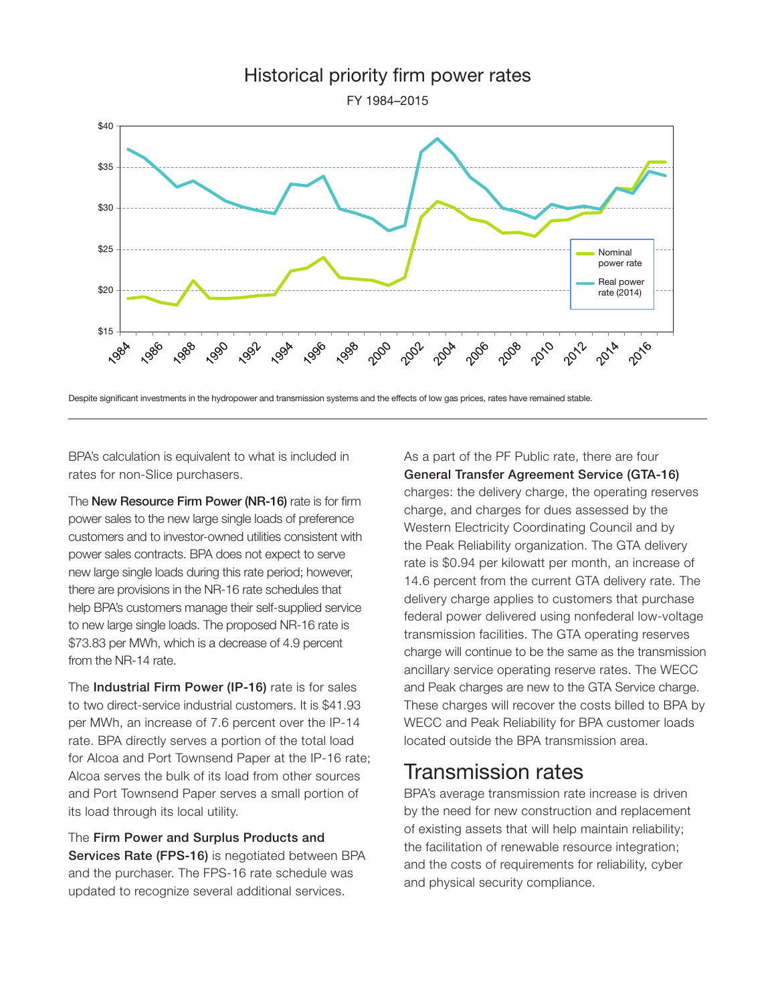

Despite significant investments in the hydropower and transmission systems and the effects of low gas prices, rates have remained stable.

BPA's calculation is equivalent to what is included in rates for non-Slice purchasers.

The New Resource Firm Power (NR-16) rate is for firm power sales to the new large single loads of preference customers and to investor-owned utilities consistent with power sales contracts. BPA does not expect to serve new large single loads during this rate period; however, there are provisions in the NR-16 rate schedules that help BPA's customers manage their self-supplied service to new large single loads. The proposed NR-16 rate is \$73.83 per MWh, which is a decrease of 4.9 percent from the NR-14 rate.

The Industrial Firm Power (IP-16) rate is for sales to two direct-service industrial customers. It is \$41.93 per MWh, an increase of 7.6 percent over the IP-14 rate. BPA directly serves a portion of the total load for Alcoa and Port Townsend Paper at the IP-16 rate; Alcoa serves the bulk of its load from other sources and Port Townsend Paper serves a small portion of its load through its local utility.

The Firm Power and Surplus Products and Services Rate (FPS-16) is negotiated between BPA and the purchaser. The FPS-16 rate schedule was updated to recognize several additional services.

As a part of the PF Public rate, there are four General Transfer Agreement Service (GTA-16) charges: the delivery charge, the operating reserves charge, and charges for dues assessed by the Western Electricity Coordinating Council and by the Peak Reliability organization. The GTA delivery rate is \$0.94 per kilowatt per month, an increase of 14.6 percent from the current GTA delivery rate. The delivery charge applies to customers that purchase federal power delivered using nonfederal low-voltage transmission facilities. The GTA operating reserves charge will continue to be the same as the transmission ancillary service operating reserve rates. The WECC and Peak charges are new to the GTA Service charge. These charges will recover the costs billed to BPA by WECC and Peak Reliability for BPA customer loads located outside the BPA transmission area.

#### Transmission rates

BPA's average transmission rate increase is driven by the need for new construction and replacement of existing assets that will help maintain reliability; the facilitation of renewable resource integration; and the costs of requirements for reliability, cyber and physical security compliance.